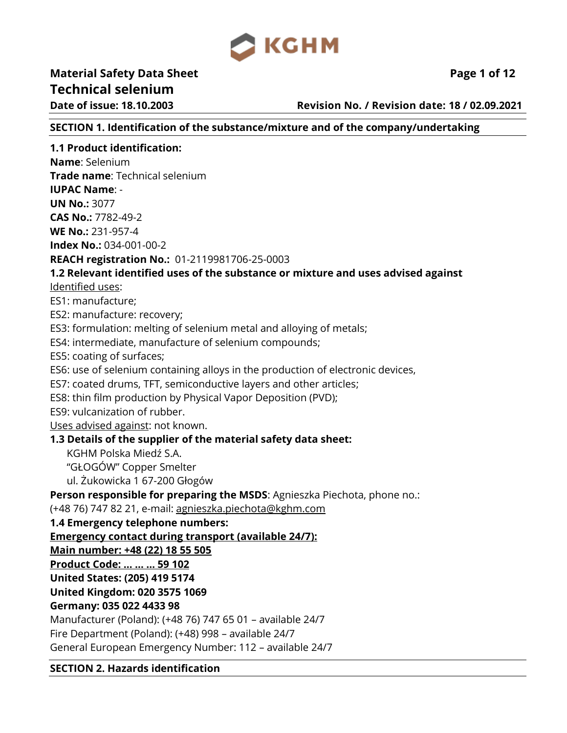

**Material Safety Data Sheet Page 1** of 12 **Technical selenium** 

**Date of issue: 18.10.2003 Revision No. / Revision date: 18 / 02.09.2021**

### **SECTION 1. Identification of the substance/mixture and of the company/undertaking**

# **1.1 Product identification:**

**Name**: Selenium **Trade name**: Technical selenium **IUPAC Name**: - **UN No.:** 3077 **CAS No.:** 7782-49-2 **WE No.:** 231-957-4 **Index No.:** 034-001-00-2 **REACH registration No.:** 01-2119981706-25-0003 **1.2 Relevant identified uses of the substance or mixture and uses advised against** Identified uses: ES1: manufacture; ES2: manufacture: recovery; ES3: formulation: melting of selenium metal and alloying of metals; ES4: intermediate, manufacture of selenium compounds; ES5: coating of surfaces; ES6: use of selenium containing alloys in the production of electronic devices, ES7: coated drums, TFT, semiconductive layers and other articles; ES8: thin film production by Physical Vapor Deposition (PVD); ES9: vulcanization of rubber. Uses advised against: not known. **1.3 Details of the supplier of the material safety data sheet:** KGHM Polska Miedź S.A. "GŁOGÓW" Copper Smelter ul. Żukowicka 1 67-200 Głogów **Person responsible for preparing the MSDS:** Agnieszka Piechota, phone no.: (+48 76) 747 82 21, e-mail: agnieszka.piechota@kghm.com **1.4 Emergency telephone numbers: Emergency contact during transport (available 24/7): Main number: +48 (22) 18 55 505 Product Code: … … … 59 102 United States: (205) 419 5174 United Kingdom: 020 3575 1069 Germany: 035 022 4433 98** Manufacturer (Poland): (+48 76) 747 65 01 – available 24/7 Fire Department (Poland): (+48) 998 – available 24/7 General European Emergency Number: 112 – available 24/7

# **SECTION 2. Hazards identification**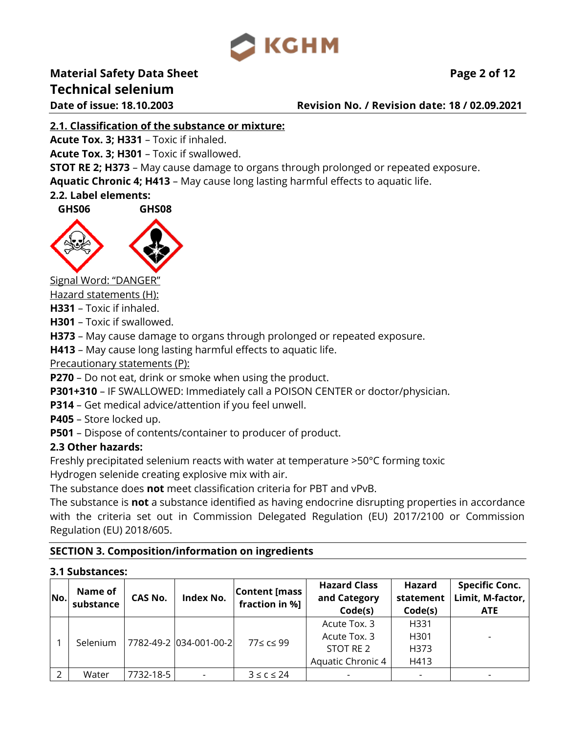

# **Material Safety Data Sheet Page 2 of 12**

**Technical selenium** 

### **Date of issue: 18.10.2003 Revision No. / Revision date: 18 / 02.09.2021**

# **2.1. Classification of the substance or mixture:**

**Acute Tox. 3; H331** – Toxic if inhaled.

**Acute Tox. 3; H301** – Toxic if swallowed.

**STOT RE 2; H373** – May cause damage to organs through prolonged or repeated exposure.

**Aquatic Chronic 4; H413** – May cause long lasting harmful effects to aquatic life.

# **2.2. Label elements:**

 **GHS06 GHS08**



Signal Word: "DANGER"

Hazard statements (H):

**H331** – Toxic if inhaled.

**H301** – Toxic if swallowed.

**H373** – May cause damage to organs through prolonged or repeated exposure.

**H413** – May cause long lasting harmful effects to aquatic life.

Precautionary statements (P):

**P270** – Do not eat, drink or smoke when using the product.

**P301+310** – IF SWALLOWED: Immediately call a POISON CENTER or doctor/physician.

**P314** – Get medical advice/attention if you feel unwell.

**P405** – Store locked up.

**P501** – Dispose of contents/container to producer of product.

# **2.3 Other hazards:**

Freshly precipitated selenium reacts with water at temperature >50°C forming toxic Hydrogen selenide creating explosive mix with air.

The substance does **not** meet classification criteria for PBT and vPvB.

The substance is **not** a substance identified as having endocrine disrupting properties in accordance with the criteria set out in Commission Delegated Regulation (EU) 2017/2100 or Commission Regulation (EU) 2018/605.

# **SECTION 3. Composition/information on ingredients**

### **3.1 Substances:**

| No. | Name of<br>substance | <b>CAS No.</b> | <b>Index No.</b>       | <b>Content [mass  </b><br>fraction in %] | <b>Hazard Class</b><br>and Category<br>Code(s)                 | Hazard<br>statement<br>Code(s) | <b>Specific Conc.</b><br>Limit, M-factor,<br><b>ATE</b> |
|-----|----------------------|----------------|------------------------|------------------------------------------|----------------------------------------------------------------|--------------------------------|---------------------------------------------------------|
|     | Selenium             |                | 7782-49-2 034-001-00-2 | 77≤ c≤ 99                                | Acute Tox. 3<br>Acute Tox. 3<br>STOT RE 2<br>Aquatic Chronic 4 | H331<br>H301<br>H373<br>H413   | $\overline{\phantom{a}}$                                |
|     | Water                | 7732-18-5      |                        | $3 \leq c \leq 24$                       |                                                                |                                |                                                         |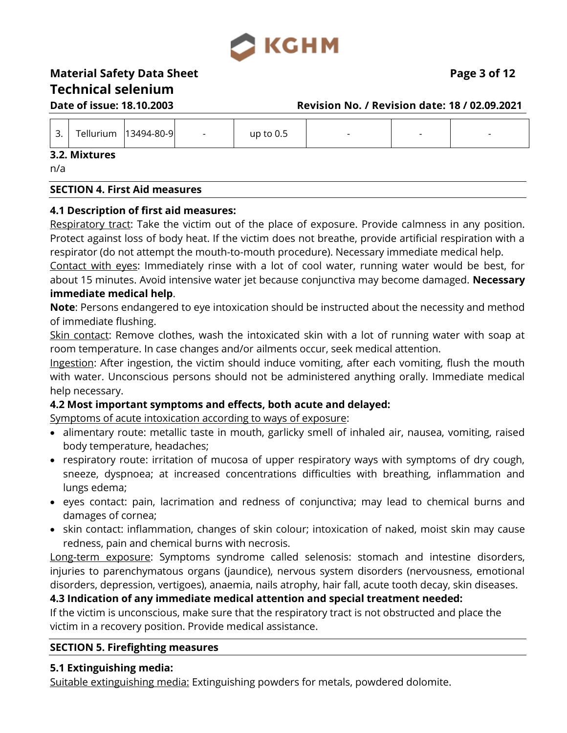

# **Material Safety Data Sheet Page 3 of 12 Technical selenium Date of issue: 18.10.2003 Revision No. / Revision date: 18 / 02.09.2021**

| $\overline{\phantom{0}}$<br><u>.</u> | Tellurium | 13494-80-9 | $\overline{\phantom{0}}$ | up to $0.5$ |  |  |  |
|--------------------------------------|-----------|------------|--------------------------|-------------|--|--|--|
|--------------------------------------|-----------|------------|--------------------------|-------------|--|--|--|

### **3.2. Mixtures**

n/a

### **SECTION 4. First Aid measures**

# **4.1 Description of first aid measures:**

Respiratory tract: Take the victim out of the place of exposure. Provide calmness in any position. Protect against loss of body heat. If the victim does not breathe, provide artificial respiration with a respirator (do not attempt the mouth-to-mouth procedure). Necessary immediate medical help.

Contact with eyes: Immediately rinse with a lot of cool water, running water would be best, for about 15 minutes. Avoid intensive water jet because conjunctiva may become damaged. **Necessary immediate medical help**.

**Note**: Persons endangered to eye intoxication should be instructed about the necessity and method of immediate flushing.

Skin contact: Remove clothes, wash the intoxicated skin with a lot of running water with soap at room temperature. In case changes and/or ailments occur, seek medical attention.

Ingestion: After ingestion, the victim should induce vomiting, after each vomiting, flush the mouth with water. Unconscious persons should not be administered anything orally. Immediate medical help necessary.

# **4.2 Most important symptoms and effects, both acute and delayed:**

Symptoms of acute intoxication according to ways of exposure:

- alimentary route: metallic taste in mouth, garlicky smell of inhaled air, nausea, vomiting, raised body temperature, headaches;
- respiratory route: irritation of mucosa of upper respiratory ways with symptoms of dry cough, sneeze, dyspnoea; at increased concentrations difficulties with breathing, inflammation and lungs edema;
- eyes contact: pain, lacrimation and redness of conjunctiva; may lead to chemical burns and damages of cornea;
- skin contact: inflammation, changes of skin colour; intoxication of naked, moist skin may cause redness, pain and chemical burns with necrosis.

Long-term exposure: Symptoms syndrome called selenosis: stomach and intestine disorders, injuries to parenchymatous organs (jaundice), nervous system disorders (nervousness, emotional disorders, depression, vertigoes), anaemia, nails atrophy, hair fall, acute tooth decay, skin diseases.

# **4.3 Indication of any immediate medical attention and special treatment needed:**

If the victim is unconscious, make sure that the respiratory tract is not obstructed and place the victim in a recovery position. Provide medical assistance.

# **SECTION 5. Firefighting measures**

# **5.1 Extinguishing media:**

Suitable extinguishing media: Extinguishing powders for metals, powdered dolomite.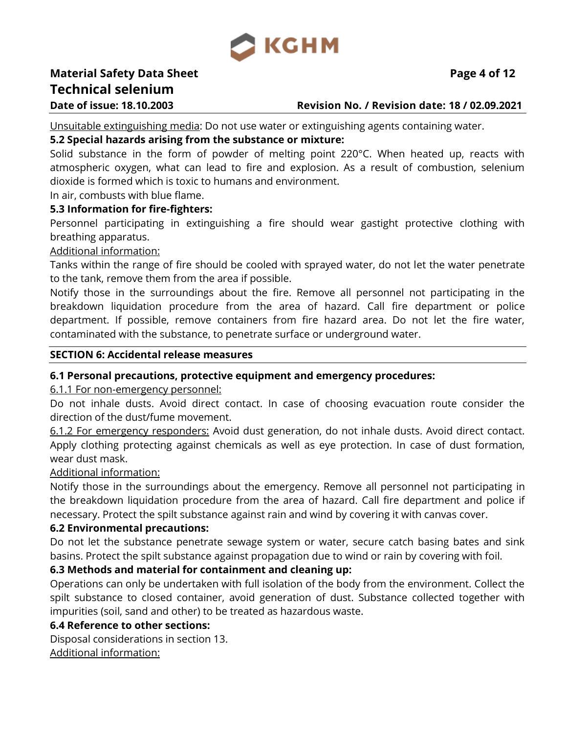

# **Material Safety Data Sheet Page 4 of 12 Technical selenium**

### **Date of issue: 18.10.2003 Revision No. / Revision date: 18 / 02.09.2021**

Unsuitable extinguishing media: Do not use water or extinguishing agents containing water.

# **5.2 Special hazards arising from the substance or mixture:**

Solid substance in the form of powder of melting point 220°C. When heated up, reacts with atmospheric oxygen, what can lead to fire and explosion. As a result of combustion, selenium dioxide is formed which is toxic to humans and environment.

In air, combusts with blue flame.

# **5.3 Information for fire-fighters:**

Personnel participating in extinguishing a fire should wear gastight protective clothing with breathing apparatus.

Additional information:

Tanks within the range of fire should be cooled with sprayed water, do not let the water penetrate to the tank, remove them from the area if possible.

Notify those in the surroundings about the fire. Remove all personnel not participating in the breakdown liquidation procedure from the area of hazard. Call fire department or police department. If possible, remove containers from fire hazard area. Do not let the fire water, contaminated with the substance, to penetrate surface or underground water.

# **SECTION 6: Accidental release measures**

# **6.1 Personal precautions, protective equipment and emergency procedures:**

6.1.1 For non-emergency personnel:

Do not inhale dusts. Avoid direct contact. In case of choosing evacuation route consider the direction of the dust/fume movement.

6.1.2 For emergency responders: Avoid dust generation, do not inhale dusts. Avoid direct contact. Apply clothing protecting against chemicals as well as eye protection. In case of dust formation, wear dust mask.

Additional information:

Notify those in the surroundings about the emergency. Remove all personnel not participating in the breakdown liquidation procedure from the area of hazard. Call fire department and police if necessary. Protect the spilt substance against rain and wind by covering it with canvas cover.

# **6.2 Environmental precautions:**

Do not let the substance penetrate sewage system or water, secure catch basing bates and sink basins. Protect the spilt substance against propagation due to wind or rain by covering with foil.

# **6.3 Methods and material for containment and cleaning up:**

Operations can only be undertaken with full isolation of the body from the environment. Collect the spilt substance to closed container, avoid generation of dust. Substance collected together with impurities (soil, sand and other) to be treated as hazardous waste.

# **6.4 Reference to other sections:**

Disposal considerations in section 13. Additional information: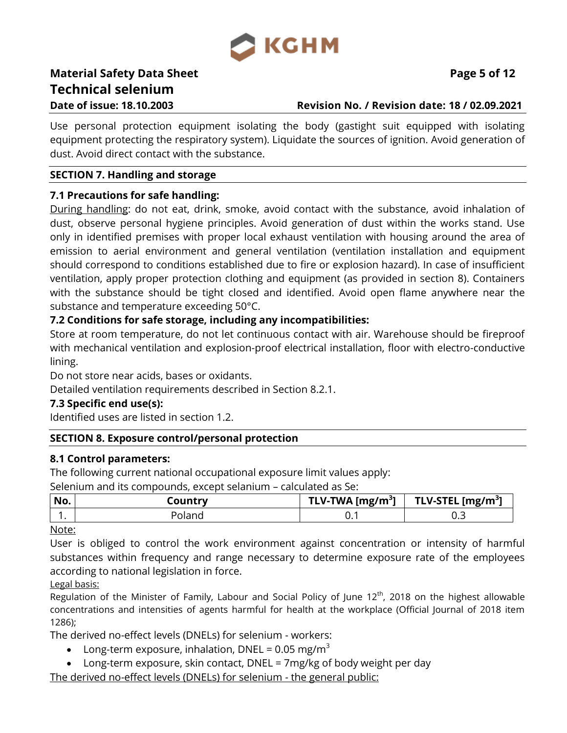

### **Date of issue: 18.10.2003 Revision No. / Revision date: 18 / 02.09.2021**

Use personal protection equipment isolating the body (gastight suit equipped with isolating equipment protecting the respiratory system). Liquidate the sources of ignition. Avoid generation of dust. Avoid direct contact with the substance.

### **SECTION 7. Handling and storage**

### **7.1 Precautions for safe handling:**

During handling: do not eat, drink, smoke, avoid contact with the substance, avoid inhalation of dust, observe personal hygiene principles. Avoid generation of dust within the works stand. Use only in identified premises with proper local exhaust ventilation with housing around the area of emission to aerial environment and general ventilation (ventilation installation and equipment should correspond to conditions established due to fire or explosion hazard). In case of insufficient ventilation, apply proper protection clothing and equipment (as provided in section 8). Containers with the substance should be tight closed and identified. Avoid open flame anywhere near the substance and temperature exceeding 50°C.

### **7.2 Conditions for safe storage, including any incompatibilities:**

Store at room temperature, do not let continuous contact with air. Warehouse should be fireproof with mechanical ventilation and explosion-proof electrical installation, floor with electro-conductive lining.

Do not store near acids, bases or oxidants.

Detailed ventilation requirements described in Section 8.2.1.

### **7.3 Specific end use(s):**

Identified uses are listed in section 1.2.

# **SECTION 8. Exposure control/personal protection**

### **8.1 Control parameters:**

The following current national occupational exposure limit values apply:

Selenium and its compounds, except selanium – calculated as Se:

| No. | Country | TLV-TWA $[mg/m3]$ | TLV-STEL [mg/m <sup>3</sup> ] |
|-----|---------|-------------------|-------------------------------|
|     | 'oland  |                   | ◡.◡                           |

Note:

User is obliged to control the work environment against concentration or intensity of harmful substances within frequency and range necessary to determine exposure rate of the employees according to national legislation in force.

Legal basis:

Regulation of the Minister of Family, Labour and Social Policy of June  $12<sup>th</sup>$ , 2018 on the highest allowable concentrations and intensities of agents harmful for health at the workplace (Official Journal of 2018 item 1286);

The derived no-effect levels (DNELs) for selenium - workers:

- Long-term exposure, inhalation, DNEL = 0.05 mg/m<sup>3</sup>
- Long-term exposure, skin contact, DNEL =  $7mg/kg$  of body weight per day

The derived no-effect levels (DNELs) for selenium - the general public: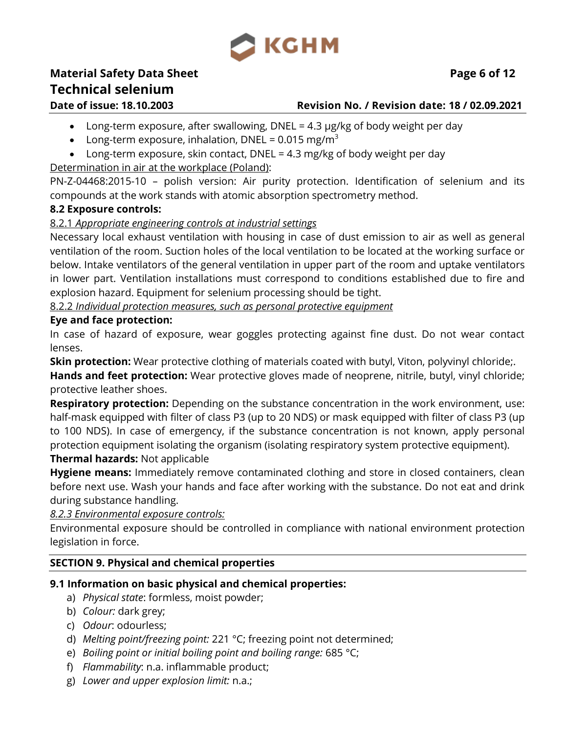

# **Material Safety Data Sheet Page 6** of 12 **Technical selenium**

# **Date of issue: 18.10.2003 Revision No. / Revision date: 18 / 02.09.2021**

- Long-term exposure, after swallowing, DNEL = 4.3 µg/kg of body weight per day
- Long-term exposure, inhalation, DNEL = 0.015 mg/m<sup>3</sup>
- Long-term exposure, skin contact, DNEL  $=$  4.3 mg/kg of body weight per day

Determination in air at the workplace (Poland):

PN-Z-04468:2015-10 – polish version: Air purity protection. Identification of selenium and its compounds at the work stands with atomic absorption spectrometry method.

# **8.2 Exposure controls:**

# 8.2.1 *Appropriate engineering controls at industrial settings*

Necessary local exhaust ventilation with housing in case of dust emission to air as well as general ventilation of the room. Suction holes of the local ventilation to be located at the working surface or below. Intake ventilators of the general ventilation in upper part of the room and uptake ventilators in lower part. Ventilation installations must correspond to conditions established due to fire and explosion hazard. Equipment for selenium processing should be tight.

8.2.2 *Individual protection measures, such as personal protective equipment*

# **Eye and face protection:**

In case of hazard of exposure, wear goggles protecting against fine dust. Do not wear contact lenses.

**Skin protection:** Wear protective clothing of materials coated with butyl, Viton, polyvinyl chloride;.

**Hands and feet protection:** Wear protective gloves made of neoprene, nitrile, butyl, vinyl chloride; protective leather shoes.

**Respiratory protection:** Depending on the substance concentration in the work environment, use: half-mask equipped with filter of class P3 (up to 20 NDS) or mask equipped with filter of class P3 (up to 100 NDS). In case of emergency, if the substance concentration is not known, apply personal protection equipment isolating the organism (isolating respiratory system protective equipment).

# **Thermal hazards:** Not applicable

**Hygiene means:** Immediately remove contaminated clothing and store in closed containers, clean before next use. Wash your hands and face after working with the substance. Do not eat and drink during substance handling.

*8.2.3 Environmental exposure controls:*

Environmental exposure should be controlled in compliance with national environment protection legislation in force.

# **SECTION 9. Physical and chemical properties**

# **9.1 Information on basic physical and chemical properties:**

- a) *Physical state*: formless, moist powder;
- b) *Colour:* dark grey;
- c) *Odour*: odourless;
- d) *Melting point/freezing point:* 221 °C; freezing point not determined;
- e) *Boiling point or initial boiling point and boiling range:* 685 °C;
- f) *Flammability*: n.a. inflammable product;
- g) *Lower and upper explosion limit:* n.a.;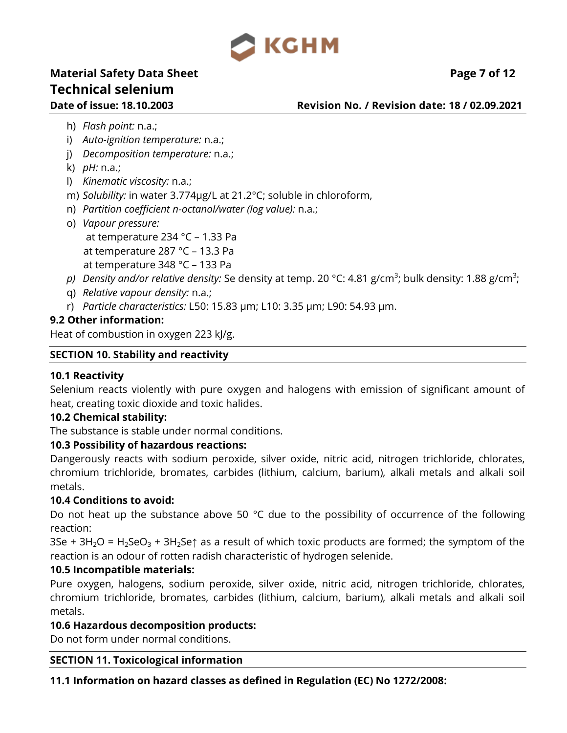

# **Material Safety Data Sheet Page 7 of 12 Technical selenium**

### **Date of issue: 18.10.2003 Revision No. / Revision date: 18 / 02.09.2021**

- h) *Flash point:* n.a.;
- i) *Auto-ignition temperature:* n.a.;
- j) *Decomposition temperature:* n.a.;
- k) *pH:* n.a.;
- l) *Kinematic viscosity:* n.a.;
- m) *Solubility:* in water 3.774µg/L at 21.2°C; soluble in chloroform,
- n) *Partition coefficient n-octanol/water (log value):* n.a.;
- o) *Vapour pressure:* at temperature 234 °C – 1.33 Pa at temperature 287 °C – 13.3 Pa at temperature 348 °C – 133 Pa
- p) *Density and/or relative density:* Se density at temp. 20 °C: 4.81 g/cm<sup>3</sup>; bulk density: 1.88 g/cm<sup>3</sup>;
- q) *Relative vapour density:* n.a.;
- r) *Particle characteristics:* L50: 15.83 µm; L10: 3.35 µm; L90: 54.93 µm.

# **9.2 Other information:**

Heat of combustion in oxygen 223 kJ/g.

### **SECTION 10. Stability and reactivity**

### **10.1 Reactivity**

Selenium reacts violently with pure oxygen and halogens with emission of significant amount of heat, creating toxic dioxide and toxic halides.

### **10.2 Chemical stability:**

The substance is stable under normal conditions.

# **10.3 Possibility of hazardous reactions:**

Dangerously reacts with sodium peroxide, silver oxide, nitric acid, nitrogen trichloride, chlorates, chromium trichloride, bromates, carbides (lithium, calcium, barium), alkali metals and alkali soil metals.

### **10.4 Conditions to avoid:**

Do not heat up the substance above 50  $^{\circ}$ C due to the possibility of occurrence of the following reaction:

3Se + 3H<sub>2</sub>O = H<sub>2</sub>SeO<sub>3</sub> + 3H<sub>2</sub>Se<sup> $\dagger$ </sup> as a result of which toxic products are formed; the symptom of the reaction is an odour of rotten radish characteristic of hydrogen selenide.

### **10.5 Incompatible materials:**

Pure oxygen, halogens, sodium peroxide, silver oxide, nitric acid, nitrogen trichloride, chlorates, chromium trichloride, bromates, carbides (lithium, calcium, barium), alkali metals and alkali soil metals.

# **10.6 Hazardous decomposition products:**

Do not form under normal conditions.

### **SECTION 11. Toxicological information**

**11.1 Information on hazard classes as defined in Regulation (EC) No 1272/2008:**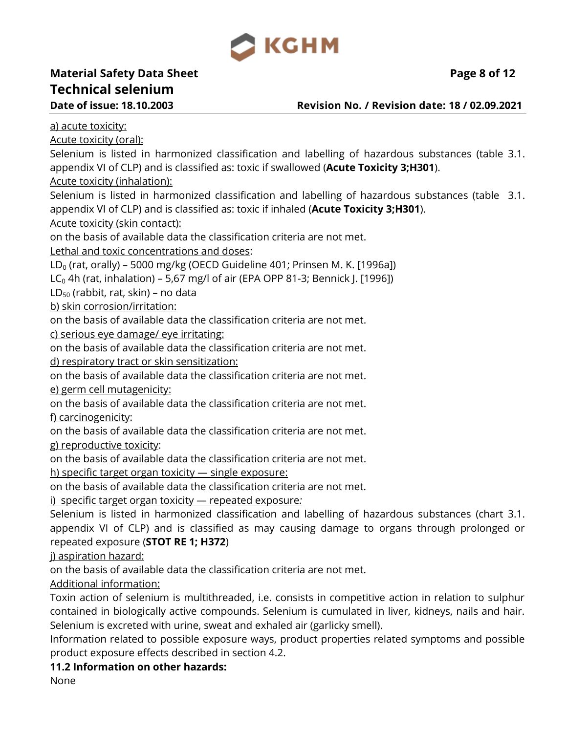

# **Material Safety Data Sheet Page 8** of 12 **Technical selenium**

**Date of issue: 18.10.2003 Revision No. / Revision date: 18 / 02.09.2021**

a) acute toxicity:

Acute toxicity (oral):

Selenium is listed in harmonized classification and labelling of hazardous substances (table 3.1. appendix VI of CLP) and is classified as: toxic if swallowed (**Acute Toxicity 3;H301**).

Acute toxicity (inhalation):

Selenium is listed in harmonized classification and labelling of hazardous substances (table 3.1. appendix VI of CLP) and is classified as: toxic if inhaled (**Acute Toxicity 3;H301**).

Acute toxicity (skin contact):

on the basis of available data the classification criteria are not met.

Lethal and toxic concentrations and doses:

 $LD<sub>0</sub>$  (rat, orally) – 5000 mg/kg (OECD Guideline 401; Prinsen M. K. [1996a])

 $LC<sub>0</sub>$  4h (rat, inhalation) – 5,67 mg/l of air (EPA OPP 81-3; Bennick J. [1996])

 $LD_{50}$  (rabbit, rat, skin) – no data

b) skin corrosion/irritation:

on the basis of available data the classification criteria are not met.

c) serious eye damage/ eye irritating:

on the basis of available data the classification criteria are not met.

d) respiratory tract or skin sensitization:

on the basis of available data the classification criteria are not met.

e) germ cell mutagenicity:

on the basis of available data the classification criteria are not met.

f) carcinogenicity:

on the basis of available data the classification criteria are not met.

g) reproductive toxicity:

on the basis of available data the classification criteria are not met.

h) specific target organ toxicity — single exposure:

on the basis of available data the classification criteria are not met.

i) specific target organ toxicity — repeated exposure*:*

Selenium is listed in harmonized classification and labelling of hazardous substances (chart 3.1. appendix VI of CLP) and is classified as may causing damage to organs through prolonged or repeated exposure (**STOT RE 1; H372**)

j) aspiration hazard:

on the basis of available data the classification criteria are not met.

Additional information:

Toxin action of selenium is multithreaded, i.e. consists in competitive action in relation to sulphur contained in biologically active compounds. Selenium is cumulated in liver, kidneys, nails and hair. Selenium is excreted with urine, sweat and exhaled air (garlicky smell).

Information related to possible exposure ways, product properties related symptoms and possible product exposure effects described in section 4.2.

# **11.2 Information on other hazards:**

None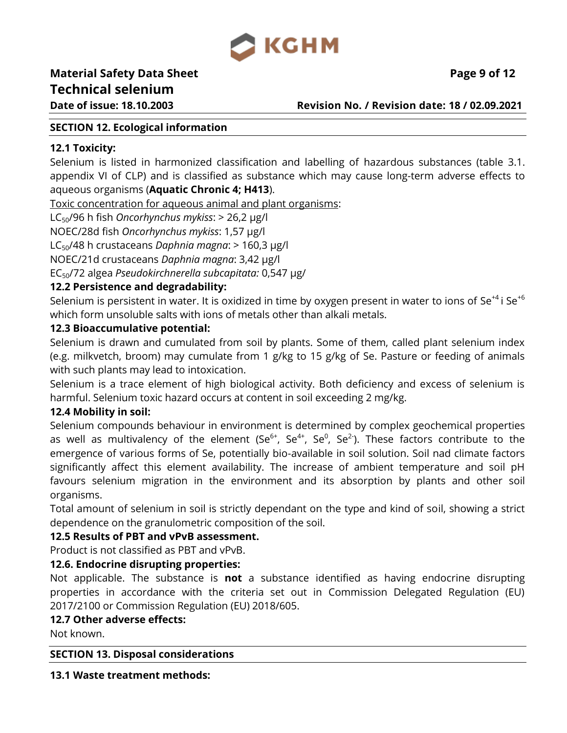

**Date of issue: 18.10.2003 Revision No. / Revision date: 18 / 02.09.2021**

### **SECTION 12. Ecological information**

# **12.1 Toxicity:**

Selenium is listed in harmonized classification and labelling of hazardous substances (table 3.1. appendix VI of CLP) and is classified as substance which may cause long-term adverse effects to aqueous organisms (**Aquatic Chronic 4; H413**).

Toxic concentration for aqueous animal and plant organisms:

LC50/96 h fish *Oncorhynchus mykiss*: > 26,2 µg/l

NOEC/28d fish *Oncorhynchus mykiss*: 1,57 µg/l

LC50/48 h crustaceans *Daphnia magna*: > 160,3 µg/l

NOEC/21d crustaceans *Daphnia magna*: 3,42 µg/l

EC50/72 algea *Pseudokirchnerella subcapitata:* 0,547 µg/

# **12.2 Persistence and degradability:**

Selenium is persistent in water. It is oxidized in time by oxygen present in water to ions of Se<sup>+4</sup> i Se<sup>+6</sup> which form unsoluble salts with ions of metals other than alkali metals.

# **12.3 Bioaccumulative potential:**

Selenium is drawn and cumulated from soil by plants. Some of them, called plant selenium index (e.g. milkvetch, broom) may cumulate from 1 g/kg to 15 g/kg of Se. Pasture or feeding of animals with such plants may lead to intoxication.

Selenium is a trace element of high biological activity. Both deficiency and excess of selenium is harmful. Selenium toxic hazard occurs at content in soil exceeding 2 mg/kg.

# **12.4 Mobility in soil:**

Selenium compounds behaviour in environment is determined by complex geochemical properties as well as multivalency of the element (Se $^{6+}$ , Se $^{4+}$ , Se $^{0}$ , Se $^{2}$ ). These factors contribute to the emergence of various forms of Se, potentially bio-available in soil solution. Soil nad climate factors significantly affect this element availability. The increase of ambient temperature and soil pH favours selenium migration in the environment and its absorption by plants and other soil organisms.

Total amount of selenium in soil is strictly dependant on the type and kind of soil, showing a strict dependence on the granulometric composition of the soil.

# **12.5 Results of PBT and vPvB assessment.**

Product is not classified as PBT and vPvB.

# **12.6. Endocrine disrupting properties:**

Not applicable. The substance is **not** a substance identified as having endocrine disrupting properties in accordance with the criteria set out in Commission Delegated Regulation (EU) 2017/2100 or Commission Regulation (EU) 2018/605.

### **12.7 Other adverse effects:**

Not known.

### **SECTION 13. Disposal considerations**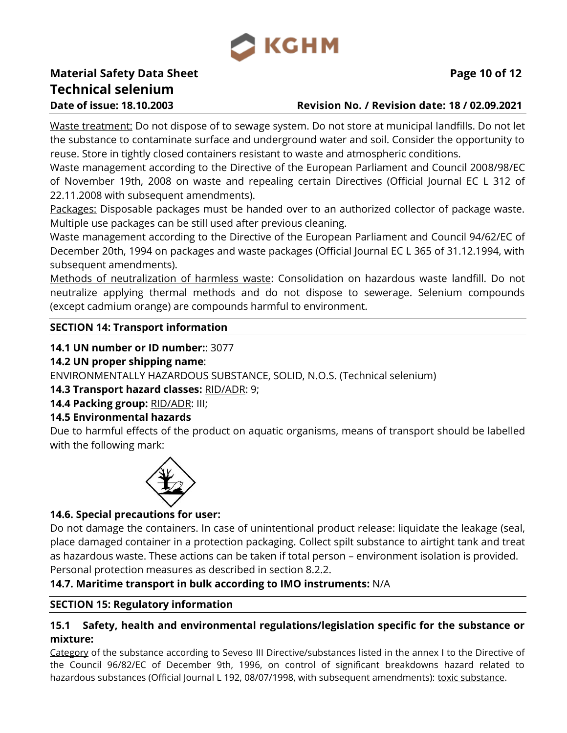

# **Material Safety Data Sheet Page 10** of 12 **Technical selenium**

# **Date of issue: 18.10.2003 Revision No. / Revision date: 18 / 02.09.2021**

Waste treatment: Do not dispose of to sewage system. Do not store at municipal landfills. Do not let the substance to contaminate surface and underground water and soil. Consider the opportunity to reuse. Store in tightly closed containers resistant to waste and atmospheric conditions.

Waste management according to the Directive of the European Parliament and Council 2008/98/EC of November 19th, 2008 on waste and repealing certain Directives (Official Journal EC L 312 of 22.11.2008 with subsequent amendments).

Packages: Disposable packages must be handed over to an authorized collector of package waste. Multiple use packages can be still used after previous cleaning.

Waste management according to the Directive of the European Parliament and Council 94/62/EC of December 20th, 1994 on packages and waste packages (Official Journal EC L 365 of 31.12.1994, with subsequent amendments).

Methods of neutralization of harmless waste: Consolidation on hazardous waste landfill. Do not neutralize applying thermal methods and do not dispose to sewerage. Selenium compounds (except cadmium orange) are compounds harmful to environment.

# **SECTION 14: Transport information**

**14.1 UN number or ID number:**: 3077

# **14.2 UN proper shipping name**:

ENVIRONMENTALLY HAZARDOUS SUBSTANCE, SOLID, N.O.S. (Technical selenium)

### **14.3 Transport hazard classes:** RID/ADR: 9;

**14.4 Packing group:** RID/ADR: III;

# **14.5 Environmental hazards**

Due to harmful effects of the product on aquatic organisms, means of transport should be labelled with the following mark:



# **14.6. Special precautions for user:**

Do not damage the containers. In case of unintentional product release: liquidate the leakage (seal, place damaged container in a protection packaging. Collect spilt substance to airtight tank and treat as hazardous waste. These actions can be taken if total person – environment isolation is provided. Personal protection measures as described in section 8.2.2.

# **14.7. Maritime transport in bulk according to IMO instruments:** N/A

# **SECTION 15: Regulatory information**

# **15.1 Safety, health and environmental regulations/legislation specific for the substance or mixture:**

Category of the substance according to Seveso III Directive/substances listed in the annex I to the Directive of the Council 96/82/EC of December 9th, 1996, on control of significant breakdowns hazard related to hazardous substances (Official Journal L 192, 08/07/1998, with subsequent amendments): toxic substance.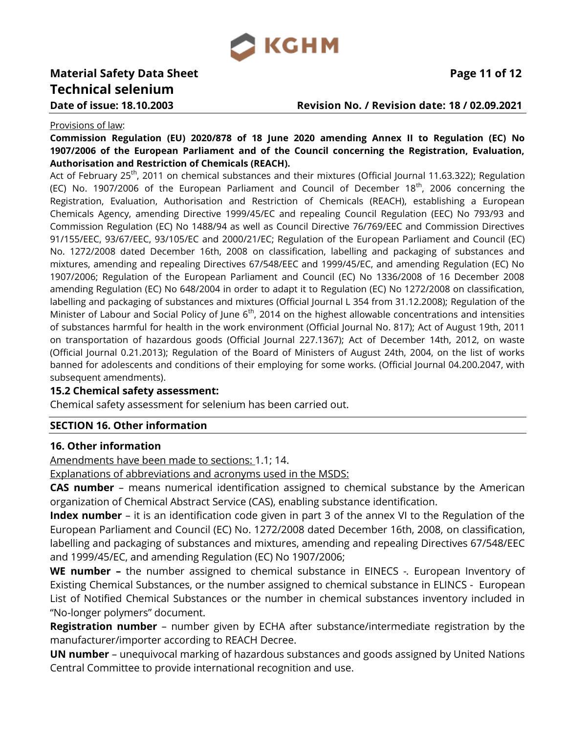

# **Material Safety Data Sheet Page 11 of 12 Technical selenium**

### **Date of issue: 18.10.2003 Revision No. / Revision date: 18 / 02.09.2021**

#### Provisions of law:

**Commission Regulation (EU) 2020/878 of 18 June 2020 amending Annex II to Regulation (EC) No 1907/2006 of the European Parliament and of the Council concerning the Registration, Evaluation, Authorisation and Restriction of Chemicals (REACH).**

Act of February 25<sup>th</sup>, 2011 on chemical substances and their mixtures (Official Journal 11.63.322); Regulation (EC) No. 1907/2006 of the European Parliament and Council of December 18<sup>th</sup>, 2006 concerning the Registration, Evaluation, Authorisation and Restriction of Chemicals (REACH), establishing a European Chemicals Agency, amending Directive 1999/45/EC and repealing Council Regulation (EEC) No 793/93 and Commission Regulation (EC) No 1488/94 as well as Council Directive 76/769/EEC and Commission Directives 91/155/EEC, 93/67/EEC, 93/105/EC and 2000/21/EC; Regulation of the European Parliament and Council (EC) No. 1272/2008 dated December 16th, 2008 on classification, labelling and packaging of substances and mixtures, amending and repealing Directives 67/548/EEC and 1999/45/EC, and amending Regulation (EC) No 1907/2006; Regulation of the European Parliament and Council (EC) No 1336/2008 of 16 December 2008 amending Regulation (EC) No 648/2004 in order to adapt it to Regulation (EC) No 1272/2008 on classification, labelling and packaging of substances and mixtures (Official Journal L 354 from 31.12.2008); Regulation of the Minister of Labour and Social Policy of June  $6<sup>th</sup>$ , 2014 on the highest allowable concentrations and intensities of substances harmful for health in the work environment (Official Journal No. 817); Act of August 19th, 2011 on transportation of hazardous goods (Official Journal 227.1367); Act of December 14th, 2012, on waste (Official Journal 0.21.2013); Regulation of the Board of Ministers of August 24th, 2004, on the list of works banned for adolescents and conditions of their employing for some works. (Official Journal 04.200.2047, with subsequent amendments).

### **15.2 Chemical safety assessment:**

Chemical safety assessment for selenium has been carried out.

### **SECTION 16. Other information**

### **16. Other information**

Amendments have been made to sections: 1.1; 14.

Explanations of abbreviations and acronyms used in the MSDS:

**CAS number** – means numerical identification assigned to chemical substance by the American organization of Chemical Abstract Service (CAS), enabling substance identification.

**Index number** – it is an identification code given in part 3 of the annex VI to the Regulation of the European Parliament and Council (EC) No. 1272/2008 dated December 16th, 2008, on classification, labelling and packaging of substances and mixtures, amending and repealing Directives 67/548/EEC and 1999/45/EC, and amending Regulation (EC) No 1907/2006;

**WE number –** the number assigned to chemical substance in EINECS -*.* European Inventory of Existing Chemical Substances, or the number assigned to chemical substance in ELINCS - European List of Notified Chemical Substances or the number in chemical substances inventory included in "No-longer polymers" document.

**Registration number** – number given by ECHA after substance/intermediate registration by the manufacturer/importer according to REACH Decree.

**UN number** – unequivocal marking of hazardous substances and goods assigned by United Nations Central Committee to provide international recognition and use.